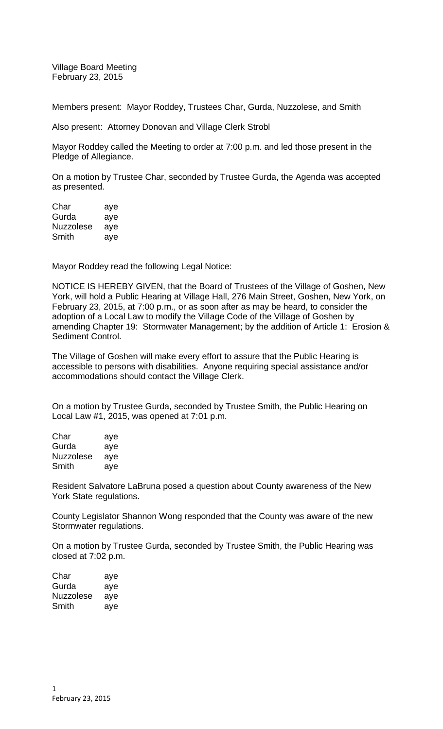Village Board Meeting February 23, 2015

Members present: Mayor Roddey, Trustees Char, Gurda, Nuzzolese, and Smith

Also present: Attorney Donovan and Village Clerk Strobl

Mayor Roddey called the Meeting to order at 7:00 p.m. and led those present in the Pledge of Allegiance.

On a motion by Trustee Char, seconded by Trustee Gurda, the Agenda was accepted as presented.

Char aye Gurda aye Nuzzolese aye Smith aye

Mayor Roddey read the following Legal Notice:

NOTICE IS HEREBY GIVEN, that the Board of Trustees of the Village of Goshen, New York, will hold a Public Hearing at Village Hall, 276 Main Street, Goshen, New York, on February 23, 2015, at 7:00 p.m., or as soon after as may be heard, to consider the adoption of a Local Law to modify the Village Code of the Village of Goshen by amending Chapter 19: Stormwater Management; by the addition of Article 1: Erosion & Sediment Control.

The Village of Goshen will make every effort to assure that the Public Hearing is accessible to persons with disabilities. Anyone requiring special assistance and/or accommodations should contact the Village Clerk.

On a motion by Trustee Gurda, seconded by Trustee Smith, the Public Hearing on Local Law #1, 2015, was opened at 7:01 p.m.

| Char      | aye |
|-----------|-----|
| Gurda     | aye |
| Nuzzolese | aye |
| Smith     | ave |

Resident Salvatore LaBruna posed a question about County awareness of the New York State regulations.

County Legislator Shannon Wong responded that the County was aware of the new Stormwater regulations.

On a motion by Trustee Gurda, seconded by Trustee Smith, the Public Hearing was closed at 7:02 p.m.

| Char      | aye |
|-----------|-----|
| Gurda     | aye |
| Nuzzolese | aye |
| Smith     | aye |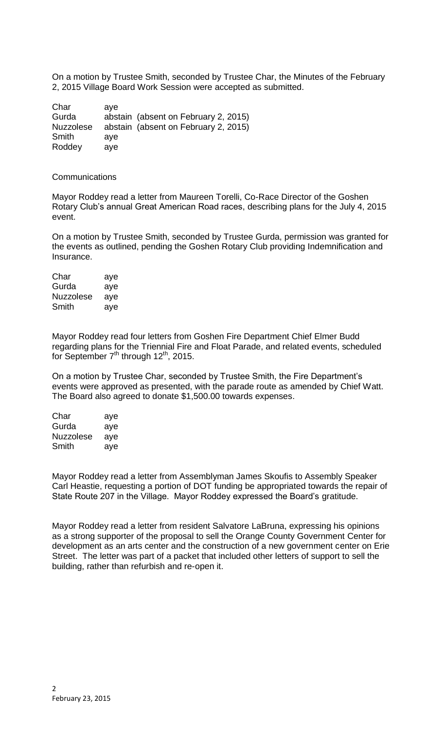On a motion by Trustee Smith, seconded by Trustee Char, the Minutes of the February 2, 2015 Village Board Work Session were accepted as submitted.

| Char             | ave |                                      |
|------------------|-----|--------------------------------------|
| Gurda            |     | abstain (absent on February 2, 2015) |
| <b>Nuzzolese</b> |     | abstain (absent on February 2, 2015) |
| Smith            | ave |                                      |
| Roddey           | ave |                                      |

Communications

Mayor Roddey read a letter from Maureen Torelli, Co-Race Director of the Goshen Rotary Club's annual Great American Road races, describing plans for the July 4, 2015 event.

On a motion by Trustee Smith, seconded by Trustee Gurda, permission was granted for the events as outlined, pending the Goshen Rotary Club providing Indemnification and Insurance.

Char aye Gurda aye Nuzzolese aye Smith aye

Mayor Roddey read four letters from Goshen Fire Department Chief Elmer Budd regarding plans for the Triennial Fire and Float Parade, and related events, scheduled for September  $7<sup>th</sup>$  through  $12<sup>th</sup>$ , 2015.

On a motion by Trustee Char, seconded by Trustee Smith, the Fire Department's events were approved as presented, with the parade route as amended by Chief Watt. The Board also agreed to donate \$1,500.00 towards expenses.

| Char             | aye |
|------------------|-----|
| Gurda            | aye |
| <b>Nuzzolese</b> | aye |
| Smith            | aye |

Mayor Roddey read a letter from Assemblyman James Skoufis to Assembly Speaker Carl Heastie, requesting a portion of DOT funding be appropriated towards the repair of State Route 207 in the Village. Mayor Roddey expressed the Board's gratitude.

Mayor Roddey read a letter from resident Salvatore LaBruna, expressing his opinions as a strong supporter of the proposal to sell the Orange County Government Center for development as an arts center and the construction of a new government center on Erie Street. The letter was part of a packet that included other letters of support to sell the building, rather than refurbish and re-open it.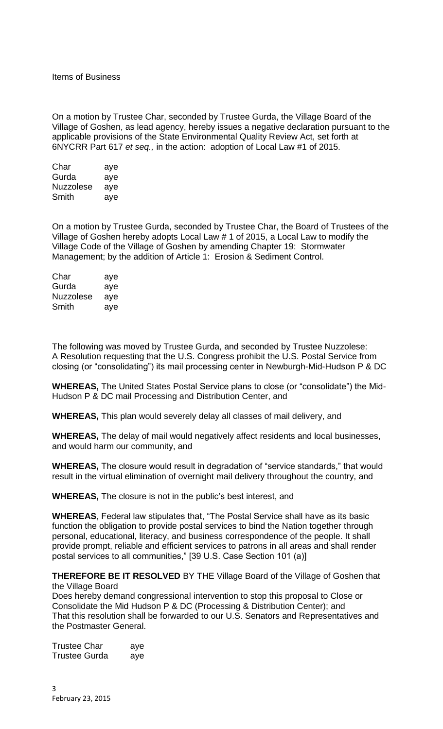Items of Business

On a motion by Trustee Char, seconded by Trustee Gurda, the Village Board of the Village of Goshen, as lead agency, hereby issues a negative declaration pursuant to the applicable provisions of the State Environmental Quality Review Act, set forth at 6NYCRR Part 617 *et seq.,* in the action: adoption of Local Law #1 of 2015.

| Char             | aye |
|------------------|-----|
| Gurda            | aye |
| <b>Nuzzolese</b> | aye |
| Smith            | aye |

On a motion by Trustee Gurda, seconded by Trustee Char, the Board of Trustees of the Village of Goshen hereby adopts Local Law # 1 of 2015, a Local Law to modify the Village Code of the Village of Goshen by amending Chapter 19: Stormwater Management; by the addition of Article 1: Erosion & Sediment Control.

| Char      | aye |
|-----------|-----|
| Gurda     | aye |
| Nuzzolese | ave |
| Smith     | aye |

The following was moved by Trustee Gurda, and seconded by Trustee Nuzzolese: A Resolution requesting that the U.S. Congress prohibit the U.S. Postal Service from closing (or "consolidating") its mail processing center in Newburgh-Mid-Hudson P & DC

**WHEREAS,** The United States Postal Service plans to close (or "consolidate") the Mid-Hudson P & DC mail Processing and Distribution Center, and

**WHEREAS,** This plan would severely delay all classes of mail delivery, and

**WHEREAS,** The delay of mail would negatively affect residents and local businesses, and would harm our community, and

**WHEREAS,** The closure would result in degradation of "service standards," that would result in the virtual elimination of overnight mail delivery throughout the country, and

**WHEREAS,** The closure is not in the public's best interest, and

**WHEREAS**, Federal law stipulates that, "The Postal Service shall have as its basic function the obligation to provide postal services to bind the Nation together through personal, educational, literacy, and business correspondence of the people. It shall provide prompt, reliable and efficient services to patrons in all areas and shall render postal services to all communities," [39 U.S. Case Section 101 (a)]

**THEREFORE BE IT RESOLVED** BY THE Village Board of the Village of Goshen that the Village Board

Does hereby demand congressional intervention to stop this proposal to Close or Consolidate the Mid Hudson P & DC (Processing & Distribution Center); and That this resolution shall be forwarded to our U.S. Senators and Representatives and the Postmaster General.

| Trustee Char         | aye |
|----------------------|-----|
| <b>Trustee Gurda</b> | aye |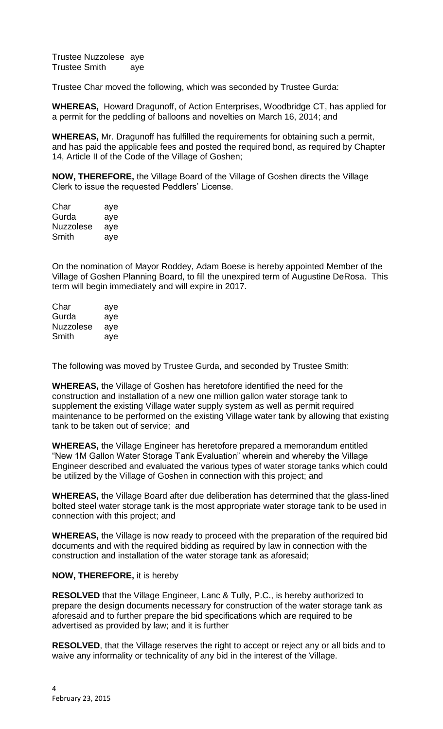Trustee Nuzzolese aye Trustee Smith aye

Trustee Char moved the following, which was seconded by Trustee Gurda:

**WHEREAS,** Howard Dragunoff, of Action Enterprises, Woodbridge CT, has applied for a permit for the peddling of balloons and novelties on March 16, 2014; and

**WHEREAS,** Mr. Dragunoff has fulfilled the requirements for obtaining such a permit, and has paid the applicable fees and posted the required bond, as required by Chapter 14, Article II of the Code of the Village of Goshen;

**NOW, THEREFORE,** the Village Board of the Village of Goshen directs the Village Clerk to issue the requested Peddlers' License.

| Char      | aye |
|-----------|-----|
| Gurda     | aye |
| Nuzzolese | aye |
| Smith     | aye |

On the nomination of Mayor Roddey, Adam Boese is hereby appointed Member of the Village of Goshen Planning Board, to fill the unexpired term of Augustine DeRosa. This term will begin immediately and will expire in 2017.

| Char      | aye |
|-----------|-----|
| Gurda     | aye |
| Nuzzolese | ave |
| Smith     | ave |

The following was moved by Trustee Gurda, and seconded by Trustee Smith:

**WHEREAS,** the Village of Goshen has heretofore identified the need for the construction and installation of a new one million gallon water storage tank to supplement the existing Village water supply system as well as permit required maintenance to be performed on the existing Village water tank by allowing that existing tank to be taken out of service; and

**WHEREAS,** the Village Engineer has heretofore prepared a memorandum entitled "New 1M Gallon Water Storage Tank Evaluation" wherein and whereby the Village Engineer described and evaluated the various types of water storage tanks which could be utilized by the Village of Goshen in connection with this project; and

**WHEREAS,** the Village Board after due deliberation has determined that the glass-lined bolted steel water storage tank is the most appropriate water storage tank to be used in connection with this project; and

**WHEREAS,** the Village is now ready to proceed with the preparation of the required bid documents and with the required bidding as required by law in connection with the construction and installation of the water storage tank as aforesaid;

## **NOW, THEREFORE,** it is hereby

**RESOLVED** that the Village Engineer, Lanc & Tully, P.C., is hereby authorized to prepare the design documents necessary for construction of the water storage tank as aforesaid and to further prepare the bid specifications which are required to be advertised as provided by law; and it is further

**RESOLVED**, that the Village reserves the right to accept or reject any or all bids and to waive any informality or technicality of any bid in the interest of the Village.